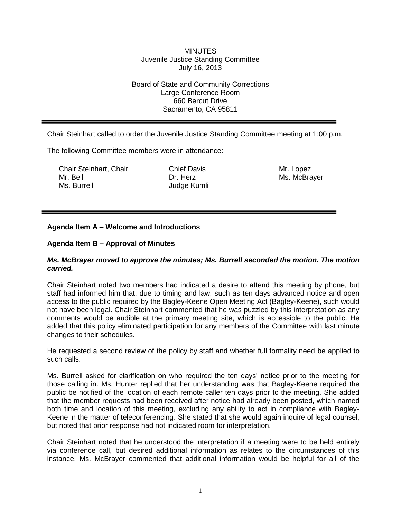### **MINUTES** Juvenile Justice Standing Committee July 16, 2013

## Board of State and Community Corrections Large Conference Room 660 Bercut Drive Sacramento, CA 95811

Chair Steinhart called to order the Juvenile Justice Standing Committee meeting at 1:00 p.m.

The following Committee members were in attendance:

Chair Steinhart, Chair Mr. Bell Ms. Burrell

Chief Davis Dr. Herz Judge Kumli Mr. Lopez Ms. McBrayer

# **Agenda Item A – Welcome and Introductions**

## **Agenda Item B – Approval of Minutes**

#### *Ms. McBrayer moved to approve the minutes; Ms. Burrell seconded the motion. The motion carried.*

Chair Steinhart noted two members had indicated a desire to attend this meeting by phone, but staff had informed him that, due to timing and law, such as ten days advanced notice and open access to the public required by the Bagley-Keene Open Meeting Act (Bagley-Keene), such would not have been legal. Chair Steinhart commented that he was puzzled by this interpretation as any comments would be audible at the primary meeting site, which is accessible to the public. He added that this policy eliminated participation for any members of the Committee with last minute changes to their schedules.

He requested a second review of the policy by staff and whether full formality need be applied to such calls.

Ms. Burrell asked for clarification on who required the ten days' notice prior to the meeting for those calling in. Ms. Hunter replied that her understanding was that Bagley-Keene required the public be notified of the location of each remote caller ten days prior to the meeting. She added that the member requests had been received after notice had already been posted, which named both time and location of this meeting, excluding any ability to act in compliance with Bagley-Keene in the matter of teleconferencing. She stated that she would again inquire of legal counsel, but noted that prior response had not indicated room for interpretation.

Chair Steinhart noted that he understood the interpretation if a meeting were to be held entirely via conference call, but desired additional information as relates to the circumstances of this instance. Ms. McBrayer commented that additional information would be helpful for all of the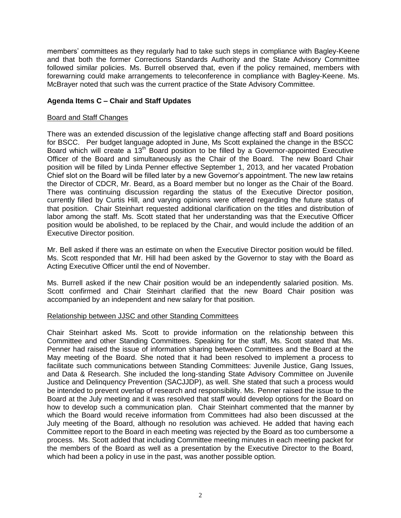members' committees as they regularly had to take such steps in compliance with Bagley-Keene and that both the former Corrections Standards Authority and the State Advisory Committee followed similar policies. Ms. Burrell observed that, even if the policy remained, members with forewarning could make arrangements to teleconference in compliance with Bagley-Keene. Ms. McBrayer noted that such was the current practice of the State Advisory Committee.

## **Agenda Items C – Chair and Staff Updates**

#### Board and Staff Changes

There was an extended discussion of the legislative change affecting staff and Board positions for BSCC. Per budget language adopted in June, Ms Scott explained the change in the BSCC Board which will create a 13<sup>th</sup> Board position to be filled by a Governor-appointed Executive Officer of the Board and simultaneously as the Chair of the Board. The new Board Chair position will be filled by Linda Penner effective September 1, 2013, and her vacated Probation Chief slot on the Board will be filled later by a new Governor's appointment. The new law retains the Director of CDCR, Mr. Beard, as a Board member but no longer as the Chair of the Board. There was continuing discussion regarding the status of the Executive Director position, currently filled by Curtis Hill, and varying opinions were offered regarding the future status of that position. Chair Steinhart requested additional clarification on the titles and distribution of labor among the staff. Ms. Scott stated that her understanding was that the Executive Officer position would be abolished, to be replaced by the Chair, and would include the addition of an Executive Director position.

Mr. Bell asked if there was an estimate on when the Executive Director position would be filled. Ms. Scott responded that Mr. Hill had been asked by the Governor to stay with the Board as Acting Executive Officer until the end of November.

Ms. Burrell asked if the new Chair position would be an independently salaried position. Ms. Scott confirmed and Chair Steinhart clarified that the new Board Chair position was accompanied by an independent and new salary for that position.

#### Relationship between JJSC and other Standing Committees

Chair Steinhart asked Ms. Scott to provide information on the relationship between this Committee and other Standing Committees. Speaking for the staff, Ms. Scott stated that Ms. Penner had raised the issue of information sharing between Committees and the Board at the May meeting of the Board. She noted that it had been resolved to implement a process to facilitate such communications between Standing Committees: Juvenile Justice, Gang Issues, and Data & Research. She included the long-standing State Advisory Committee on Juvenile Justice and Delinquency Prevention (SACJJDP), as well. She stated that such a process would be intended to prevent overlap of research and responsibility. Ms. Penner raised the issue to the Board at the July meeting and it was resolved that staff would develop options for the Board on how to develop such a communication plan. Chair Steinhart commented that the manner by which the Board would receive information from Committees had also been discussed at the July meeting of the Board, although no resolution was achieved. He added that having each Committee report to the Board in each meeting was rejected by the Board as too cumbersome a process. Ms. Scott added that including Committee meeting minutes in each meeting packet for the members of the Board as well as a presentation by the Executive Director to the Board, which had been a policy in use in the past, was another possible option.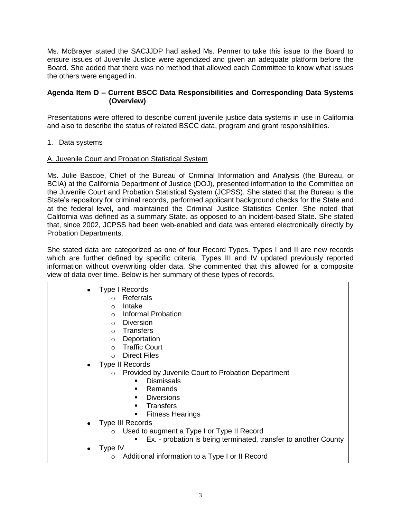Ms. McBrayer stated the SACJJDP had asked Ms. Penner to take this issue to the Board to ensure issues of Juvenile Justice were agendized and given an adequate platform before the Board. She added that there was no method that allowed each Committee to know what issues the others were engaged in.

# **Agenda Item D – Current BSCC Data Responsibilities and Corresponding Data Systems (Overview)**

Presentations were offered to describe current juvenile justice data systems in use in California and also to describe the status of related BSCC data, program and grant responsibilities.

1. Data systems

## A. Juvenile Court and Probation Statistical System

Ms. Julie Bascoe, Chief of the Bureau of Criminal Information and Analysis (the Bureau, or BCIA) at the California Department of Justice (DOJ), presented information to the Committee on the Juvenile Court and Probation Statistical System (JCPSS). She stated that the Bureau is the State's repository for criminal records, performed applicant background checks for the State and at the federal level, and maintained the Criminal Justice Statistics Center. She noted that California was defined as a summary State, as opposed to an incident-based State. She stated that, since 2002, JCPSS had been web-enabled and data was entered electronically directly by Probation Departments.

She stated data are categorized as one of four Record Types. Types I and II are new records which are further defined by specific criteria. Types III and IV updated previously reported information without overwriting older data. She commented that this allowed for a composite view of data over time. Below is her summary of these types of records.

| Type I Records |  |
|----------------|--|
|----------------|--|

- o Referrals
- o Intake
- o Informal Probation
- o Diversion
- o Transfers
- o Deportation
- o Traffic Court
- o Direct Files
- Type II Records
	- o Provided by Juvenile Court to Probation Department
		- **Dismissals**
		- **Remands**
		- **Diversions**
		- **Transfers**
		- **Fitness Hearings**
- Type III Records
	- o Used to augment a Type I or Type II Record
		- **Ex.** probation is being terminated, transfer to another County
- Type IV
	- o Additional information to a Type I or II Record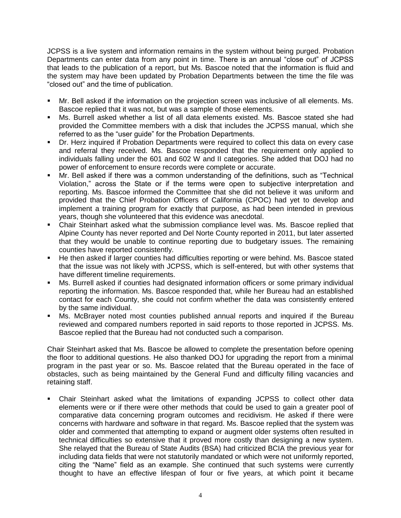JCPSS is a live system and information remains in the system without being purged. Probation Departments can enter data from any point in time. There is an annual "close out" of JCPSS that leads to the publication of a report, but Ms. Bascoe noted that the information is fluid and the system may have been updated by Probation Departments between the time the file was "closed out" and the time of publication.

- Mr. Bell asked if the information on the projection screen was inclusive of all elements. Ms. Bascoe replied that it was not, but was a sample of those elements.
- Ms. Burrell asked whether a list of all data elements existed. Ms. Bascoe stated she had provided the Committee members with a disk that includes the JCPSS manual, which she referred to as the "user guide" for the Probation Departments.
- Dr. Herz inquired if Probation Departments were required to collect this data on every case and referral they received. Ms. Bascoe responded that the requirement only applied to individuals falling under the 601 and 602 W and II categories. She added that DOJ had no power of enforcement to ensure records were complete or accurate.
- Mr. Bell asked if there was a common understanding of the definitions, such as "Technical Violation," across the State or if the terms were open to subjective interpretation and reporting. Ms. Bascoe informed the Committee that she did not believe it was uniform and provided that the Chief Probation Officers of California (CPOC) had yet to develop and implement a training program for exactly that purpose, as had been intended in previous years, though she volunteered that this evidence was anecdotal.
- Chair Steinhart asked what the submission compliance level was. Ms. Bascoe replied that Alpine County has never reported and Del Norte County reported in 2011, but later asserted that they would be unable to continue reporting due to budgetary issues. The remaining counties have reported consistently.
- He then asked if larger counties had difficulties reporting or were behind. Ms. Bascoe stated that the issue was not likely with JCPSS, which is self-entered, but with other systems that have different timeline requirements.
- Ms. Burrell asked if counties had designated information officers or some primary individual reporting the information. Ms. Bascoe responded that, while her Bureau had an established contact for each County, she could not confirm whether the data was consistently entered by the same individual.
- Ms. McBrayer noted most counties published annual reports and inquired if the Bureau reviewed and compared numbers reported in said reports to those reported in JCPSS. Ms. Bascoe replied that the Bureau had not conducted such a comparison.

Chair Steinhart asked that Ms. Bascoe be allowed to complete the presentation before opening the floor to additional questions. He also thanked DOJ for upgrading the report from a minimal program in the past year or so. Ms. Bascoe related that the Bureau operated in the face of obstacles, such as being maintained by the General Fund and difficulty filling vacancies and retaining staff.

 Chair Steinhart asked what the limitations of expanding JCPSS to collect other data elements were or if there were other methods that could be used to gain a greater pool of comparative data concerning program outcomes and recidivism. He asked if there were concerns with hardware and software in that regard. Ms. Bascoe replied that the system was older and commented that attempting to expand or augment older systems often resulted in technical difficulties so extensive that it proved more costly than designing a new system. She relayed that the Bureau of State Audits (BSA) had criticized BCIA the previous year for including data fields that were not statutorily mandated or which were not uniformly reported, citing the "Name" field as an example. She continued that such systems were currently thought to have an effective lifespan of four or five years, at which point it became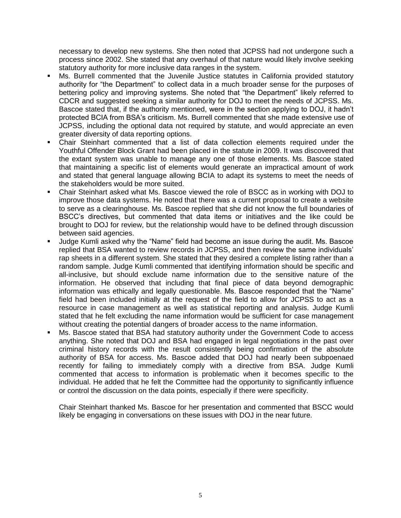necessary to develop new systems. She then noted that JCPSS had not undergone such a process since 2002. She stated that any overhaul of that nature would likely involve seeking statutory authority for more inclusive data ranges in the system.

- Ms. Burrell commented that the Juvenile Justice statutes in California provided statutory authority for "the Department" to collect data in a much broader sense for the purposes of bettering policy and improving systems. She noted that "the Department" likely referred to CDCR and suggested seeking a similar authority for DOJ to meet the needs of JCPSS. Ms. Bascoe stated that, if the authority mentioned, were in the section applying to DOJ, it hadn't protected BCIA from BSA's criticism. Ms. Burrell commented that she made extensive use of JCPSS, including the optional data not required by statute, and would appreciate an even greater diversity of data reporting options.
- Chair Steinhart commented that a list of data collection elements required under the Youthful Offender Block Grant had been placed in the statute in 2009. It was discovered that the extant system was unable to manage any one of those elements. Ms. Bascoe stated that maintaining a specific list of elements would generate an impractical amount of work and stated that general language allowing BCIA to adapt its systems to meet the needs of the stakeholders would be more suited.
- Chair Steinhart asked what Ms. Bascoe viewed the role of BSCC as in working with DOJ to improve those data systems. He noted that there was a current proposal to create a website to serve as a clearinghouse. Ms. Bascoe replied that she did not know the full boundaries of BSCC's directives, but commented that data items or initiatives and the like could be brought to DOJ for review, but the relationship would have to be defined through discussion between said agencies.
- Judge Kumli asked why the "Name" field had become an issue during the audit. Ms. Bascoe replied that BSA wanted to review records in JCPSS, and then review the same individuals' rap sheets in a different system. She stated that they desired a complete listing rather than a random sample. Judge Kumli commented that identifying information should be specific and all-inclusive, but should exclude name information due to the sensitive nature of the information. He observed that including that final piece of data beyond demographic information was ethically and legally questionable. Ms. Bascoe responded that the "Name" field had been included initially at the request of the field to allow for JCPSS to act as a resource in case management as well as statistical reporting and analysis. Judge Kumli stated that he felt excluding the name information would be sufficient for case management without creating the potential dangers of broader access to the name information.
- Ms. Bascoe stated that BSA had statutory authority under the Government Code to access anything. She noted that DOJ and BSA had engaged in legal negotiations in the past over criminal history records with the result consistently being confirmation of the absolute authority of BSA for access. Ms. Bascoe added that DOJ had nearly been subpoenaed recently for failing to immediately comply with a directive from BSA. Judge Kumli commented that access to information is problematic when it becomes specific to the individual. He added that he felt the Committee had the opportunity to significantly influence or control the discussion on the data points, especially if there were specificity.

Chair Steinhart thanked Ms. Bascoe for her presentation and commented that BSCC would likely be engaging in conversations on these issues with DOJ in the near future.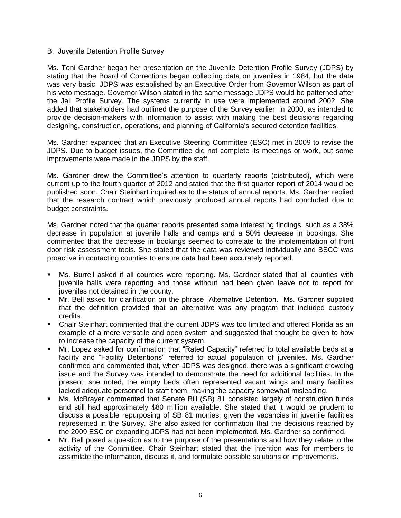## B. Juvenile Detention Profile Survey

Ms. Toni Gardner began her presentation on the Juvenile Detention Profile Survey (JDPS) by stating that the Board of Corrections began collecting data on juveniles in 1984, but the data was very basic. JDPS was established by an Executive Order from Governor Wilson as part of his veto message. Governor Wilson stated in the same message JDPS would be patterned after the Jail Profile Survey. The systems currently in use were implemented around 2002. She added that stakeholders had outlined the purpose of the Survey earlier, in 2000, as intended to provide decision-makers with information to assist with making the best decisions regarding designing, construction, operations, and planning of California's secured detention facilities.

Ms. Gardner expanded that an Executive Steering Committee (ESC) met in 2009 to revise the JDPS. Due to budget issues, the Committee did not complete its meetings or work, but some improvements were made in the JDPS by the staff.

Ms. Gardner drew the Committee's attention to quarterly reports (distributed), which were current up to the fourth quarter of 2012 and stated that the first quarter report of 2014 would be published soon. Chair Steinhart inquired as to the status of annual reports. Ms. Gardner replied that the research contract which previously produced annual reports had concluded due to budget constraints.

Ms. Gardner noted that the quarter reports presented some interesting findings, such as a 38% decrease in population at juvenile halls and camps and a 50% decrease in bookings. She commented that the decrease in bookings seemed to correlate to the implementation of front door risk assessment tools. She stated that the data was reviewed individually and BSCC was proactive in contacting counties to ensure data had been accurately reported.

- Ms. Burrell asked if all counties were reporting. Ms. Gardner stated that all counties with juvenile halls were reporting and those without had been given leave not to report for juveniles not detained in the county.
- Mr. Bell asked for clarification on the phrase "Alternative Detention." Ms. Gardner supplied that the definition provided that an alternative was any program that included custody credits.
- Chair Steinhart commented that the current JDPS was too limited and offered Florida as an example of a more versatile and open system and suggested that thought be given to how to increase the capacity of the current system.
- Mr. Lopez asked for confirmation that "Rated Capacity" referred to total available beds at a facility and "Facility Detentions" referred to actual population of juveniles. Ms. Gardner confirmed and commented that, when JDPS was designed, there was a significant crowding issue and the Survey was intended to demonstrate the need for additional facilities. In the present, she noted, the empty beds often represented vacant wings and many facilities lacked adequate personnel to staff them, making the capacity somewhat misleading.
- Ms. McBrayer commented that Senate Bill (SB) 81 consisted largely of construction funds and still had approximately \$80 million available. She stated that it would be prudent to discuss a possible repurposing of SB 81 monies, given the vacancies in juvenile facilities represented in the Survey. She also asked for confirmation that the decisions reached by the 2009 ESC on expanding JDPS had not been implemented. Ms. Gardner so confirmed.
- Mr. Bell posed a question as to the purpose of the presentations and how they relate to the activity of the Committee. Chair Steinhart stated that the intention was for members to assimilate the information, discuss it, and formulate possible solutions or improvements.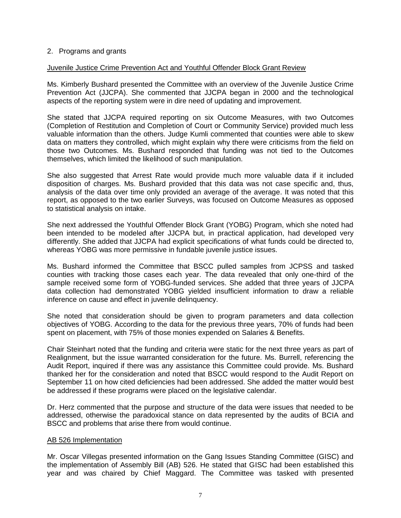## 2. Programs and grants

### Juvenile Justice Crime Prevention Act and Youthful Offender Block Grant Review

Ms. Kimberly Bushard presented the Committee with an overview of the Juvenile Justice Crime Prevention Act (JJCPA). She commented that JJCPA began in 2000 and the technological aspects of the reporting system were in dire need of updating and improvement.

She stated that JJCPA required reporting on six Outcome Measures, with two Outcomes (Completion of Restitution and Completion of Court or Community Service) provided much less valuable information than the others. Judge Kumli commented that counties were able to skew data on matters they controlled, which might explain why there were criticisms from the field on those two Outcomes. Ms. Bushard responded that funding was not tied to the Outcomes themselves, which limited the likelihood of such manipulation.

She also suggested that Arrest Rate would provide much more valuable data if it included disposition of charges. Ms. Bushard provided that this data was not case specific and, thus, analysis of the data over time only provided an average of the average. It was noted that this report, as opposed to the two earlier Surveys, was focused on Outcome Measures as opposed to statistical analysis on intake.

She next addressed the Youthful Offender Block Grant (YOBG) Program, which she noted had been intended to be modeled after JJCPA but, in practical application, had developed very differently. She added that JJCPA had explicit specifications of what funds could be directed to, whereas YOBG was more permissive in fundable juvenile justice issues.

Ms. Bushard informed the Committee that BSCC pulled samples from JCPSS and tasked counties with tracking those cases each year. The data revealed that only one-third of the sample received some form of YOBG-funded services. She added that three years of JJCPA data collection had demonstrated YOBG yielded insufficient information to draw a reliable inference on cause and effect in juvenile delinquency.

She noted that consideration should be given to program parameters and data collection objectives of YOBG. According to the data for the previous three years, 70% of funds had been spent on placement, with 75% of those monies expended on Salaries & Benefits.

Chair Steinhart noted that the funding and criteria were static for the next three years as part of Realignment, but the issue warranted consideration for the future. Ms. Burrell, referencing the Audit Report, inquired if there was any assistance this Committee could provide. Ms. Bushard thanked her for the consideration and noted that BSCC would respond to the Audit Report on September 11 on how cited deficiencies had been addressed. She added the matter would best be addressed if these programs were placed on the legislative calendar.

Dr. Herz commented that the purpose and structure of the data were issues that needed to be addressed, otherwise the paradoxical stance on data represented by the audits of BCIA and BSCC and problems that arise there from would continue.

#### AB 526 Implementation

Mr. Oscar Villegas presented information on the Gang Issues Standing Committee (GISC) and the implementation of Assembly Bill (AB) 526. He stated that GISC had been established this year and was chaired by Chief Maggard. The Committee was tasked with presented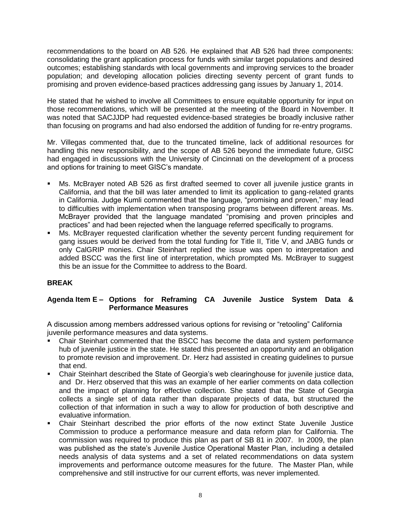recommendations to the board on AB 526. He explained that AB 526 had three components: consolidating the grant application process for funds with similar target populations and desired outcomes; establishing standards with local governments and improving services to the broader population; and developing allocation policies directing seventy percent of grant funds to promising and proven evidence-based practices addressing gang issues by January 1, 2014.

He stated that he wished to involve all Committees to ensure equitable opportunity for input on those recommendations, which will be presented at the meeting of the Board in November. It was noted that SACJJDP had requested evidence-based strategies be broadly inclusive rather than focusing on programs and had also endorsed the addition of funding for re-entry programs.

Mr. Villegas commented that, due to the truncated timeline, lack of additional resources for handling this new responsibility, and the scope of AB 526 beyond the immediate future, GISC had engaged in discussions with the University of Cincinnati on the development of a process and options for training to meet GISC's mandate.

- Ms. McBrayer noted AB 526 as first drafted seemed to cover all juvenile justice grants in California, and that the bill was later amended to limit its application to gang-related grants in California. Judge Kumli commented that the language, "promising and proven," may lead to difficulties with implementation when transposing programs between different areas. Ms. McBrayer provided that the language mandated "promising and proven principles and practices" and had been rejected when the language referred specifically to programs.
- Ms. McBrayer requested clarification whether the seventy percent funding requirement for gang issues would be derived from the total funding for Title II, Title V, and JABG funds or only CalGRIP monies. Chair Steinhart replied the issue was open to interpretation and added BSCC was the first line of interpretation, which prompted Ms. McBrayer to suggest this be an issue for the Committee to address to the Board.

# **BREAK**

# **Agenda Item E – Options for Reframing CA Juvenile Justice System Data & Performance Measures**

A discussion among members addressed various options for revising or "retooling" California juvenile performance measures and data systems.

- Chair Steinhart commented that the BSCC has become the data and system performance hub of juvenile justice in the state. He stated this presented an opportunity and an obligation to promote revision and improvement. Dr. Herz had assisted in creating guidelines to pursue that end.
- Chair Steinhart described the State of Georgia's web clearinghouse for juvenile justice data, and Dr. Herz observed that this was an example of her earlier comments on data collection and the impact of planning for effective collection. She stated that the State of Georgia collects a single set of data rather than disparate projects of data, but structured the collection of that information in such a way to allow for production of both descriptive and evaluative information.
- Chair Steinhart described the prior efforts of the now extinct State Juvenile Justice Commission to produce a performance measure and data reform plan for California. The commission was required to produce this plan as part of SB 81 in 2007. In 2009, the plan was published as the state's Juvenile Justice Operational Master Plan, including a detailed needs analysis of data systems and a set of related recommendations on data system improvements and performance outcome measures for the future. The Master Plan, while comprehensive and still instructive for our current efforts, was never implemented.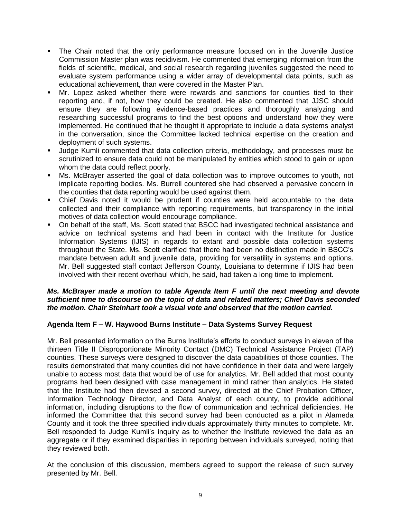- The Chair noted that the only performance measure focused on in the Juvenile Justice Commission Master plan was recidivism. He commented that emerging information from the fields of scientific, medical, and social research regarding juveniles suggested the need to evaluate system performance using a wider array of developmental data points, such as educational achievement, than were covered in the Master Plan.
- Mr. Lopez asked whether there were rewards and sanctions for counties tied to their reporting and, if not, how they could be created. He also commented that JJSC should ensure they are following evidence-based practices and thoroughly analyzing and researching successful programs to find the best options and understand how they were implemented. He continued that he thought it appropriate to include a data systems analyst in the conversation, since the Committee lacked technical expertise on the creation and deployment of such systems.
- Judge Kumli commented that data collection criteria, methodology, and processes must be scrutinized to ensure data could not be manipulated by entities which stood to gain or upon whom the data could reflect poorly.
- Ms. McBrayer asserted the goal of data collection was to improve outcomes to youth, not implicate reporting bodies. Ms. Burrell countered she had observed a pervasive concern in the counties that data reporting would be used against them.
- Chief Davis noted it would be prudent if counties were held accountable to the data collected and their compliance with reporting requirements, but transparency in the initial motives of data collection would encourage compliance.
- On behalf of the staff, Ms. Scott stated that BSCC had investigated technical assistance and advice on technical systems and had been in contact with the Institute for Justice Information Systems (IJIS) in regards to extant and possible data collection systems throughout the State. Ms. Scott clarified that there had been no distinction made in BSCC's mandate between adult and juvenile data, providing for versatility in systems and options. Mr. Bell suggested staff contact Jefferson County, Louisiana to determine if IJIS had been involved with their recent overhaul which, he said, had taken a long time to implement.

## *Ms. McBrayer made a motion to table Agenda Item F until the next meeting and devote sufficient time to discourse on the topic of data and related matters; Chief Davis seconded the motion. Chair Steinhart took a visual vote and observed that the motion carried.*

# **Agenda Item F – W. Haywood Burns Institute – Data Systems Survey Request**

Mr. Bell presented information on the Burns Institute's efforts to conduct surveys in eleven of the thirteen Title II Disproportionate Minority Contact (DMC) Technical Assistance Project (TAP) counties. These surveys were designed to discover the data capabilities of those counties. The results demonstrated that many counties did not have confidence in their data and were largely unable to access most data that would be of use for analytics. Mr. Bell added that most county programs had been designed with case management in mind rather than analytics. He stated that the Institute had then devised a second survey, directed at the Chief Probation Officer, Information Technology Director, and Data Analyst of each county, to provide additional information, including disruptions to the flow of communication and technical deficiencies. He informed the Committee that this second survey had been conducted as a pilot in Alameda County and it took the three specified individuals approximately thirty minutes to complete. Mr. Bell responded to Judge Kumli's inquiry as to whether the Institute reviewed the data as an aggregate or if they examined disparities in reporting between individuals surveyed, noting that they reviewed both.

At the conclusion of this discussion, members agreed to support the release of such survey presented by Mr. Bell.